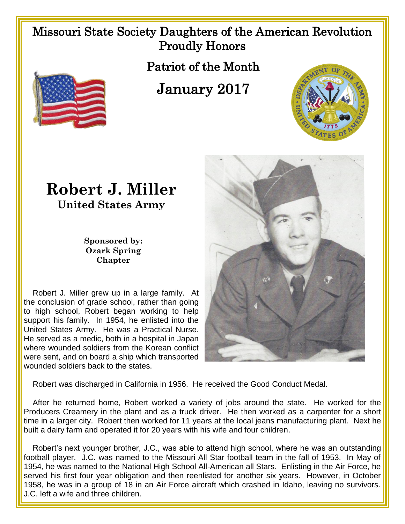## Missouri State Society Daughters of the American Revolution Proudly Honors

Patriot of the Month

January 2017



## **Robert J. Miller United States Army**

**Sponsored by: Ozark Spring Chapter**

 Robert J. Miller grew up in a large family. At the conclusion of grade school, rather than going to high school, Robert began working to help support his family. In 1954, he enlisted into the United States Army. He was a Practical Nurse. He served as a medic, both in a hospital in Japan where wounded soldiers from the Korean conflict were sent, and on board a ship which transported wounded soldiers back to the states.



Robert was discharged in California in 1956. He received the Good Conduct Medal.

 After he returned home, Robert worked a variety of jobs around the state. He worked for the Producers Creamery in the plant and as a truck driver. He then worked as a carpenter for a short time in a larger city. Robert then worked for 11 years at the local jeans manufacturing plant. Next he built a dairy farm and operated it for 20 years with his wife and four children.

 Robert's next younger brother, J.C., was able to attend high school, where he was an outstanding football player. J.C. was named to the Missouri All Star football team in the fall of 1953. In May of 1954, he was named to the National High School All-American all Stars. Enlisting in the Air Force, he served his first four year obligation and then reenlisted for another six years. However, in October 1958, he was in a group of 18 in an Air Force aircraft which crashed in Idaho, leaving no survivors. J.C. left a wife and three children.